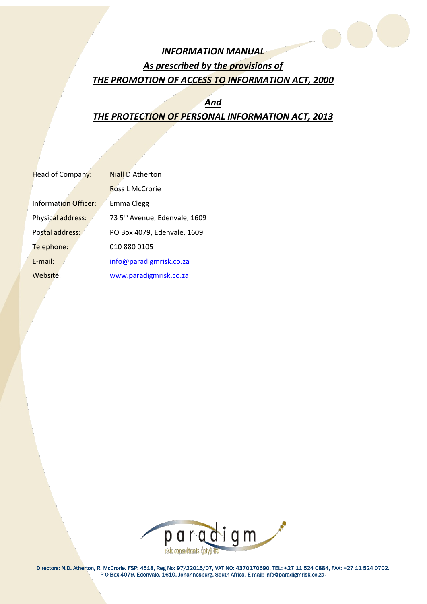

# *INFORMATION MANUAL As prescribed by the provisions of THE PROMOTION OF ACCESS TO INFORMATION ACT, 2000*

# *And THE PROTECTION OF PERSONAL INFORMATION ACT, 2013*

| <b>Head of Company:</b> | <b>Niall D Atherton</b>                   |
|-------------------------|-------------------------------------------|
|                         | <b>Ross L McCrorie</b>                    |
| Information Officer:    | Emma Clegg                                |
| Physical address:       | 73 5 <sup>th</sup> Avenue, Edenvale, 1609 |
| Postal address:         | PO Box 4079, Edenvale, 1609               |
| Telephone:              | 010 880 0105                              |
| $E$ -mail:              | info@paradigmrisk.co.za                   |
| Website:                | www.paradigmrisk.co.za                    |
|                         |                                           |



Directors: N.D. Atherton, R. McCrorie. FSP: 4518, Reg No: 97/22015/07, VAT NO: 4370170690. TEL: +27 11 524 0884, FAX: +27 11 524 0702. P O Box 4079, Edenvale, 1610, Johannesburg, South Africa. E-mail: info@paradigmrisk.co.za.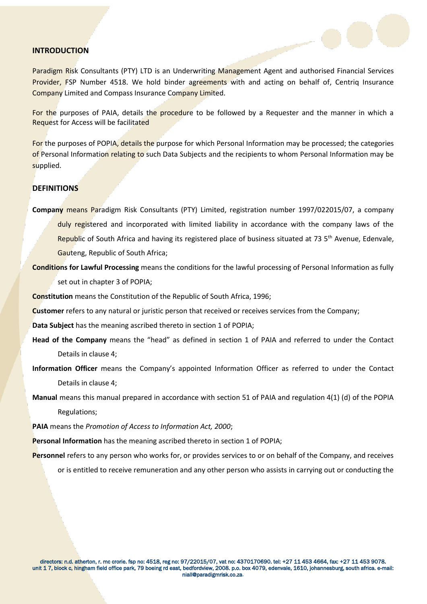## **INTRODUCTION**

Paradigm Risk Consultants (PTY) LTD is an Underwriting Management Agent and authorised Financial Services Provider, FSP Number 4518. We hold binder agreements with and acting on behalf of, Centriq Insurance Company Limited and Compass Insurance Company Limited.

For the purposes of PAIA, details the procedure to be followed by a Requester and the manner in which a Request for Access will be facilitated

For the purposes of POPIA, details the purpose for which Personal Information may be processed; the categories of Personal Information relating to such Data Subjects and the recipients to whom Personal Information may be supplied.

## **DEFINITIONS**

**Company** means Paradigm Risk Consultants (PTY) Limited, registration number 1997/022015/07, a company duly registered and incorporated with limited liability in accordance with the company laws of the

Republic of South Africa and having its registered place of business situated at 73  $5<sup>th</sup>$  Avenue, Edenvale, Gauteng, Republic of South Africa;

**Conditions for Lawful Processing** means the conditions for the lawful processing of Personal Information as fully set out in chapter 3 of POPIA;

**Constitution** means the Constitution of the Republic of South Africa, 1996;

**Customer** refers to any natural or juristic person that received or receives services from the Company;

**Data Subject** has the meaning ascribed thereto in section 1 of POPIA;

**Head of the Company** means the "head" as defined in section 1 of PAIA and referred to under the Contact Details in clause 4;

**Information Officer** means the Company's appointed Information Officer as referred to under the Contact Details in clause 4;

**Manual** means this manual prepared in accordance with section 51 of PAIA and regulation 4(1) (d) of the POPIA Regulations;

**PAIA** means the *Promotion of Access to Information Act, 2000*;

**Personal Information** has the meaning ascribed thereto in section 1 of POPIA;

**Personnel** refers to any person who works for, or provides services to or on behalf of the Company, and receives

or is entitled to receive remuneration and any other person who assists in carrying out or conducting the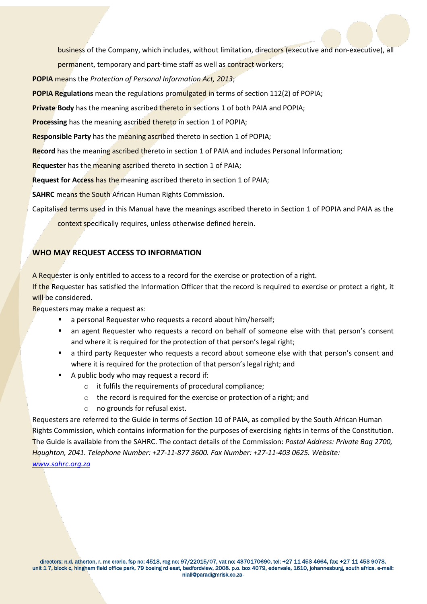

business of the Company, which includes, without limitation, directors (executive and non-executive), all

permanent, temporary and part-time staff as well as contract workers;

**POPIA** means the *Protection of Personal Information Act, 2013*;

**POPIA Regulations** mean the regulations promulgated in terms of section 112(2) of POPIA;

**Private Body** has the meaning ascribed thereto in sections 1 of both PAIA and POPIA;

**Processing** has the meaning ascribed thereto in section 1 of POPIA;

**Responsible Party** has the meaning ascribed thereto in section 1 of POPIA;

**Record** has the meaning ascribed thereto in section 1 of PAIA and includes Personal Information;

**Requester** has the meaning ascribed thereto in section 1 of PAIA;

**Request for Access** has the meaning ascribed thereto in section 1 of PAIA;

**SAHRC** means the South African Human Rights Commission.

Capitalised terms used in this Manual have the meanings ascribed thereto in Section 1 of POPIA and PAIA as the

context specifically requires, unless otherwise defined herein.

# **WHO MAY REQUEST ACCESS TO INFORMATION**

A Requester is only entitled to access to a record for the exercise or protection of a right.

If the Requester has satisfied the Information Officer that the record is required to exercise or protect a right, it will be considered.

Requesters may make a request as:

- a personal Requester who requests a record about him/herself;
- an agent Requester who requests a record on behalf of someone else with that person's consent and where it is required for the protection of that person's legal right;
- a third party Requester who requests a record about someone else with that person's consent and where it is required for the protection of that person's legal right; and
- A public body who may request a record if:
	- o it fulfils the requirements of procedural compliance;
	- o the record is required for the exercise or protection of a right; and
	- o no grounds for refusal exist.

Requesters are referred to the Guide in terms of Section 10 of PAIA, as compiled by the South African Human Rights Commission, which contains information for the purposes of exercising rights in terms of the Constitution. The Guide is available from the SAHRC. The contact details of the Commission: *Postal Address: Private Bag 2700, Houghton, 2041. Telephone Number: +27-11-877 3600. Fax Number: +27-11-403 0625. Website: [www.sahrc.org.za](http://www.sahrc.org.za/)*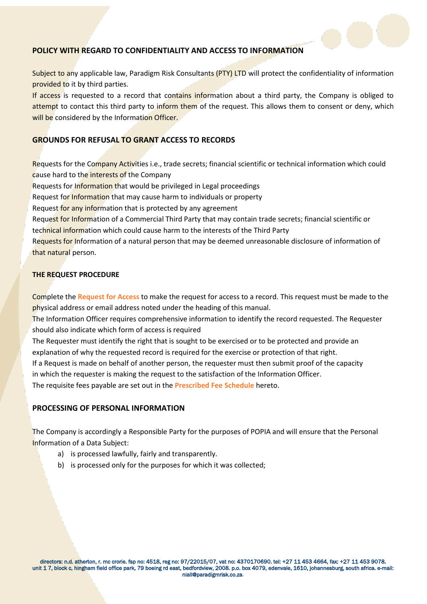

# **POLICY WITH REGARD TO CONFIDENTIALITY AND ACCESS TO INFORMATION**

Subject to any applicable law, Paradigm Risk Consultants (PTY) LTD will protect the confidentiality of information provided to it by third parties.

If access is requested to a record that contains information about a third party, the Company is obliged to attempt to contact this third party to inform them of the request. This allows them to consent or deny, which will be considered by the Information Officer.

## **GROUNDS FOR REFUSAL TO GRANT ACCESS TO RECORDS**

Requests for the Company Activities i.e., trade secrets; financial scientific or technical information which could cause hard to the interests of the Company Requests for Information that would be privileged in Legal proceedings Request for Information that may cause harm to individuals or property Request for any information that is protected by any agreement Request for Information of a Commercial Third Party that may contain trade secrets; financial scientific or technical information which could cause harm to the interests of the Third Party Requests for Information of a natural person that may be deemed unreasonable disclosure of information of that natural person.

## **THE REQUEST PROCEDURE**

Complete the **Request for Access** to make the request for access to a record. This request must be made to the physical address or email address noted under the heading of this manual.

The Information Officer requires comprehensive information to identify the record requested. The Requester should also indicate which form of access is required

The Requester must identify the right that is sought to be exercised or to be protected and provide an explanation of why the requested record is required for the exercise or protection of that right. If a Request is made on behalf of another person, the requester must then submit proof of the capacity in which the requester is making the request to the satisfaction of the Information Officer.

The requisite fees payable are set out in the **Prescribed Fee Schedule** hereto.

## **PROCESSING OF PERSONAL INFORMATION**

The Company is accordingly a Responsible Party for the purposes of POPIA and will ensure that the Personal Information of a Data Subject:

- a) is processed lawfully, fairly and transparently.
- b) is processed only for the purposes for which it was collected;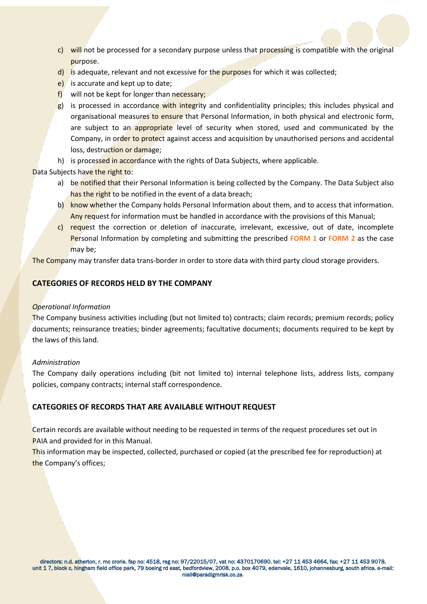- c) will not be processed for a secondary purpose unless that processing is compatible with the original purpose.
- d) is adequate, relevant and not excessive for the purposes for which it was collected;
- e) is accurate and kept up to date;
- f) will not be kept for longer than necessary;
- g) is processed in accordance with integrity and confidentiality principles; this includes physical and organisational measures to ensure that Personal Information, in both physical and electronic form, are subject to an appropriate level of security when stored, used and communicated by the Company, in order to protect against access and acquisition by unauthorised persons and accidental loss, destruction or damage;
- h) is processed in accordance with the rights of Data Subjects, where applicable.

Data Subjects have the right to:

- a) be notified that their Personal Information is being collected by the Company. The Data Subject also has the right to be notified in the event of a data breach;
- b) know whether the Company holds Personal Information about them, and to access that information. Any request for information must be handled in accordance with the provisions of this Manual;
- c) request the correction or deletion of inaccurate, irrelevant, excessive, out of date, incomplete Personal Information by completing and submitting the prescribed **FORM 1** or **FORM 2** as the case may be;

The Company may transfer data trans-border in order to store data with third party cloud storage providers.

## **CATEGORIES OF RECORDS HELD BY THE COMPANY**

## *Operational Information*

The Company business activities including (but not limited to) contracts; claim records; premium records; policy documents; reinsurance treaties; binder agreements; facultative documents; documents required to be kept by the laws of this land.

## *Administration*

The Company daily operations including (bit not limited to) internal telephone lists, address lists, company policies, company contracts; internal staff correspondence.

## **CATEGORIES OF RECORDS THAT ARE AVAILABLE WITHOUT REQUEST**

Certain records are available without needing to be requested in terms of the request procedures set out in PAIA and provided for in this Manual.

This information may be inspected, collected, purchased or copied (at the prescribed fee for reproduction) at the Company's offices;